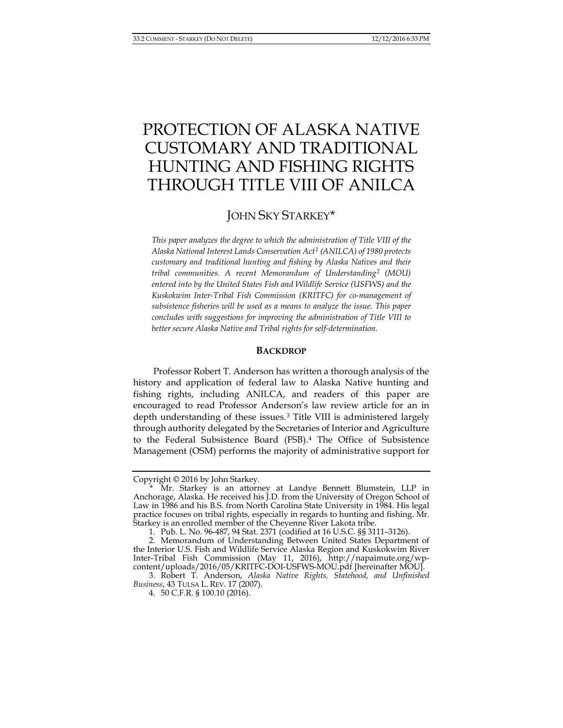# PROTECTION OF ALASKA NATIVE CUSTOMARY AND TRADITIONAL HUNTING AND FISHING RIGHTS THROUGH TITLE VIII OF ANILCA

# JOHN SKY STARKEY[\\*](#page-0-0)

*This paper analyzes the degree to which the administration of Title VIII of the Alaska National Interest Lands Conservation Act[1](#page-0-1) (ANILCA) of 1980 protects customary and traditional hunting and fishing by Alaska Natives and their tribal communities. A recent Memorandum of Understanding[2](#page-0-2) (MOU) entered into by the United States Fish and Wildlife Service (USFWS) and the Kuskokwim Inter-Tribal Fish Commission (KRITFC) for co-management of subsistence fisheries will be used as a means to analyze the issue. This paper concludes with suggestions for improving the administration of Title VIII to better secure Alaska Native and Tribal rights for self-determination.*

## <span id="page-0-6"></span><span id="page-0-5"></span>**BACKDROP**

Professor Robert T. Anderson has written a thorough analysis of the history and application of federal law to Alaska Native hunting and fishing rights, including ANILCA, and readers of this paper are encouraged to read Professor Anderson's law review article for an in depth understanding of these issues.<sup>[3](#page-0-3)</sup> Title VIII is administered largely through authority delegated by the Secretaries of Interior and Agriculture to the Federal Subsistence Board (FSB).[4](#page-0-4) The Office of Subsistence Management (OSM) performs the majority of administrative support for

Copyright © 2016 by John Starkey.

<span id="page-0-0"></span><sup>\*</sup> Mr. Starkey is an attorney at Landye Bennett Blumstein, LLP in Anchorage, Alaska. He received his J.D. from the University of Oregon School of Law in 1986 and his B.S. from North Carolina State University in 1984. His legal practice focuses on tribal rights, especially in regards to hunting and fishing. Mr. Starkey is an enrolled member of the Cheyenne River Lakota tribe.

<sup>1.</sup> Pub. L. No. 96-487, 94 Stat. 2371 (codified at 16 U.S.C. §§ 3111–3126).

<span id="page-0-2"></span><span id="page-0-1"></span><sup>2.</sup> Memorandum of Understanding Between United States Department of the Interior U.S. Fish and Wildlife Service Alaska Region and Kuskokwim River Inter-Tribal Fish Commission (May 11, 2016), http://napaimute.org/wpcontent/uploads/2016/05/KRITFC-DOI-USFWS-MOU.pdf [hereinafter MOU].

<span id="page-0-4"></span><span id="page-0-3"></span><sup>3.</sup> Robert T. Anderson, *Alaska Native Rights, Statehood, and Unfinished Business*, 43 TULSA L. REV. 17 (2007).

<sup>4.</sup> 50 C.F.R. § 100.10 (2016).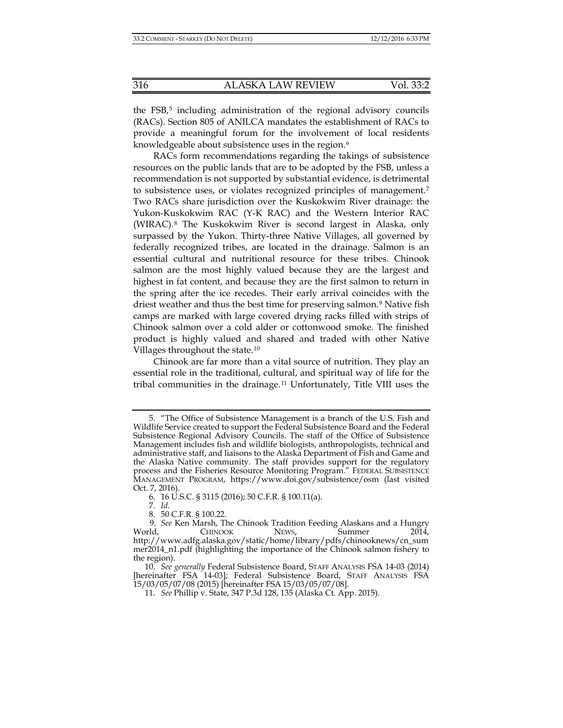the FSB,<sup>[5](#page-1-0)</sup> including administration of the regional advisory councils (RACs). Section 805 of ANILCA mandates the establishment of RACs to provide a meaningful forum for the involvement of local residents knowledgeable about subsistence uses in the region.<sup>[6](#page-1-1)</sup>

RACs form recommendations regarding the takings of subsistence resources on the public lands that are to be adopted by the FSB, unless a recommendation is not supported by substantial evidence, is detrimental to subsistence uses, or violates recognized principles of management.[7](#page-1-2) Two RACs share jurisdiction over the Kuskokwim River drainage: the Yukon-Kuskokwim RAC (Y-K RAC) and the Western Interior RAC (WIRAC).[8](#page-1-3) The Kuskokwim River is second largest in Alaska, only surpassed by the Yukon. Thirty-three Native Villages, all governed by federally recognized tribes, are located in the drainage. Salmon is an essential cultural and nutritional resource for these tribes. Chinook salmon are the most highly valued because they are the largest and highest in fat content, and because they are the first salmon to return in the spring after the ice recedes. Their early arrival coincides with the driest weather and thus the best time for preserving salmon.<sup>[9](#page-1-4)</sup> Native fish camps are marked with large covered drying racks filled with strips of Chinook salmon over a cold alder or cottonwood smoke. The finished product is highly valued and shared and traded with other Native Villages throughout the state.[10](#page-1-5)

Chinook are far more than a vital source of nutrition. They play an essential role in the traditional, cultural, and spiritual way of life for the tribal communities in the drainage.[11](#page-1-6) Unfortunately, Title VIII uses the

<span id="page-1-0"></span><sup>5.</sup> "The Office of Subsistence Management is a branch of the U.S. Fish and Wildlife Service created to support the Federal Subsistence Board and the Federal Subsistence Regional Advisory Councils. The staff of the Office of Subsistence Management includes fish and wildlife biologists, anthropologists, technical and administrative staff, and liaisons to the Alaska Department of Fish and Game and the Alaska Native community. The staff provides support for the regulatory process and the Fisheries Resource Monitoring Program." FEDERAL SUBSISTENCE MANAGEMENT PROGRAM, https://www.doi.gov/subsistence/osm (last visited Oct. 7, 2016).

<sup>6.</sup> 16 U.S.C. § 3115 (2016); 50 C.F.R. § 100.11(a).

<sup>7.</sup> *Id*.

<sup>8.</sup> 50 C.F.R. § 100.22.

<span id="page-1-4"></span><span id="page-1-3"></span><span id="page-1-2"></span><span id="page-1-1"></span><sup>9.</sup> *See* Ken Marsh, The Chinook Tradition Feeding Alaskans and a Hungry World, CHINOOK NEWS, Summer 2014, http://www.adfg.alaska.gov/static/home/library/pdfs/chinooknews/cn\_sum mer2014\_n1.pdf (highlighting the importance of the Chinook salmon fishery to the region).

<span id="page-1-6"></span><span id="page-1-5"></span><sup>10.</sup> *See generally* Federal Subsistence Board, STAFF ANALYSIS FSA 14-03 (2014) [hereinafter FSA 14-03]; Federal Subsistence Board, STAFF ANALYSIS FSA 15/03/05/07/08 (2015) [hereinafter FSA 15/03/05/07/08].

<sup>11.</sup> *See* Phillip v. State, 347 P.3d 128, 135 (Alaska Ct. App. 2015).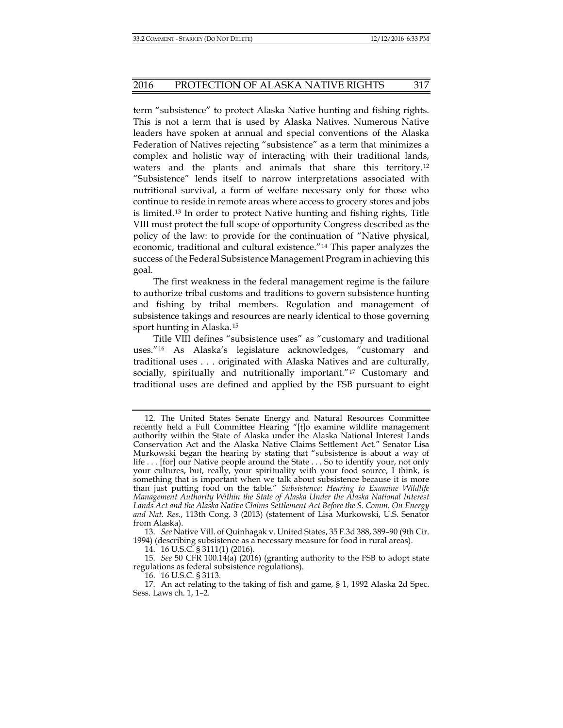term "subsistence" to protect Alaska Native hunting and fishing rights. This is not a term that is used by Alaska Natives. Numerous Native leaders have spoken at annual and special conventions of the Alaska Federation of Natives rejecting "subsistence" as a term that minimizes a complex and holistic way of interacting with their traditional lands, waters and the plants and animals that share this territory.[12](#page-2-0) "Subsistence" lends itself to narrow interpretations associated with nutritional survival, a form of welfare necessary only for those who continue to reside in remote areas where access to grocery stores and jobs is limited.[13](#page-2-1) In order to protect Native hunting and fishing rights, Title VIII must protect the full scope of opportunity Congress described as the policy of the law: to provide for the continuation of "Native physical, economic, traditional and cultural existence."[14](#page-2-2) This paper analyzes the success of the Federal Subsistence Management Program in achieving this goal.

The first weakness in the federal management regime is the failure to authorize tribal customs and traditions to govern subsistence hunting and fishing by tribal members. Regulation and management of subsistence takings and resources are nearly identical to those governing sport hunting in Alaska.[15](#page-2-3)

Title VIII defines "subsistence uses" as "customary and traditional uses."[16](#page-2-4) As Alaska's legislature acknowledges, "customary and traditional uses . . . originated with Alaska Natives and are culturally, socially, spiritually and nutritionally important."<sup>[17](#page-2-5)</sup> Customary and traditional uses are defined and applied by the FSB pursuant to eight

14. 16 U.S.C. § 3111(1) (2016).

16. 16 U.S.C. § 3113.

<span id="page-2-0"></span><sup>12.</sup> The United States Senate Energy and Natural Resources Committee recently held a Full Committee Hearing "[t]o examine wildlife management authority within the State of Alaska under the Alaska National Interest Lands Conservation Act and the Alaska Native Claims Settlement Act." Senator Lisa Murkowski began the hearing by stating that "subsistence is about a way of life . . . [for] our Native people around the State . . . So to identify your, not only your cultures, but, really, your spirituality with your food source, I think, is something that is important when we talk about subsistence because it is more than just putting food on the table." *Subsistence: Hearing to Examine Wildlife Management Authority Within the State of Alaska Under the Alaska National Interest Lands Act and the Alaska Native Claims Settlement Act Before the S. Comm. On Energy and Nat. Res.*, 113th Cong. 3 (2013) (statement of Lisa Murkowski, U.S. Senator from Alaska).

<span id="page-2-1"></span><sup>13.</sup> *See* Native Vill. of Quinhagak v. United States, 35 F.3d 388, 389–90 (9th Cir. 1994) (describing subsistence as a necessary measure for food in rural areas).

<span id="page-2-3"></span><span id="page-2-2"></span><sup>15.</sup> *See* 50 CFR 100.14(a) (2016) (granting authority to the FSB to adopt state regulations as federal subsistence regulations).

<span id="page-2-5"></span><span id="page-2-4"></span><sup>17.</sup> An act relating to the taking of fish and game, § 1, 1992 Alaska 2d Spec. Sess. Laws ch. 1, 1–2.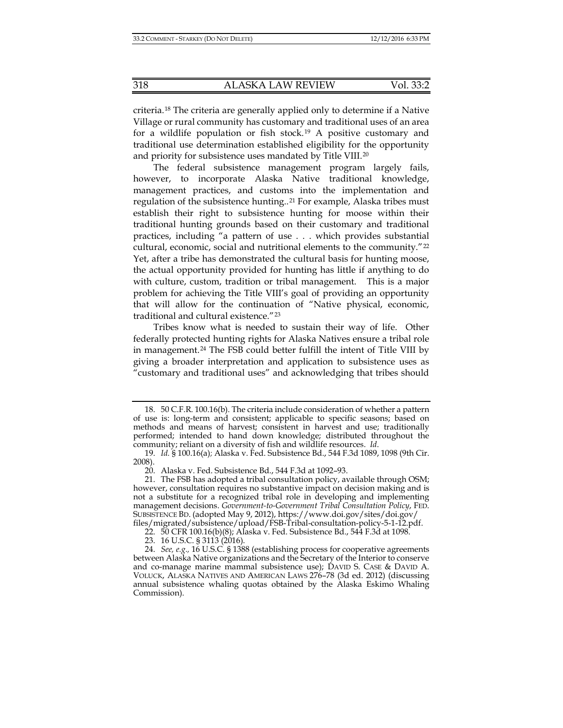criteria.[18](#page-3-0) The criteria are generally applied only to determine if a Native Village or rural community has customary and traditional uses of an area for a wildlife population or fish stock.<sup>[19](#page-3-1)</sup> A positive customary and traditional use determination established eligibility for the opportunity and priority for subsistence uses mandated by Title VIII.[20](#page-3-2)

The federal subsistence management program largely fails, however, to incorporate Alaska Native traditional knowledge, management practices, and customs into the implementation and regulation of the subsistence hunting..[21](#page-3-3) For example, Alaska tribes must establish their right to subsistence hunting for moose within their traditional hunting grounds based on their customary and traditional practices, including "a pattern of use . . . which provides substantial cultural, economic, social and nutritional elements to the community."<sup>[22](#page-3-4)</sup> Yet, after a tribe has demonstrated the cultural basis for hunting moose, the actual opportunity provided for hunting has little if anything to do with culture, custom, tradition or tribal management. This is a major problem for achieving the Title VIII's goal of providing an opportunity that will allow for the continuation of "Native physical, economic, traditional and cultural existence."[23](#page-3-5)

Tribes know what is needed to sustain their way of life. Other federally protected hunting rights for Alaska Natives ensure a tribal role in management.[24](#page-3-6) The FSB could better fulfill the intent of Title VIII by giving a broader interpretation and application to subsistence uses as "customary and traditional uses" and acknowledging that tribes should

<span id="page-3-0"></span><sup>18.</sup> 50 C.F.R. 100.16(b). The criteria include consideration of whether a pattern of use is: long-term and consistent; applicable to specific seasons; based on methods and means of harvest; consistent in harvest and use; traditionally performed; intended to hand down knowledge; distributed throughout the community; reliant on a diversity of fish and wildlife resources. *Id*.

<span id="page-3-1"></span><sup>19.</sup> *Id.* § 100.16(a); Alaska v. Fed. Subsistence Bd., 544 F.3d 1089, 1098 (9th Cir. 2008).

<sup>20.</sup> Alaska v. Fed. Subsistence Bd., 544 F.3d at 1092–93.

<span id="page-3-3"></span><span id="page-3-2"></span><sup>21.</sup> The FSB has adopted a tribal consultation policy, available through OSM; however, consultation requires no substantive impact on decision making and is not a substitute for a recognized tribal role in developing and implementing management decisions. *Government-to-Government Tribal Consultation Policy*, FED. SUBSISTENCE BD. (adopted May 9, 2012), https://www.doi.gov/sites/doi.gov/ files/migrated/subsistence/upload/FSB-Tribal-consultation-policy-5-1-12.pdf.

<sup>22.</sup> 50 CFR 100.16(b)(8); Alaska v. Fed. Subsistence Bd., 544 F.3d at 1098.

<sup>23.</sup> 16 U.S.C. § 3113 (2016).

<span id="page-3-6"></span><span id="page-3-5"></span><span id="page-3-4"></span><sup>24.</sup> *See, e.g.,* 16 U.S.C. § 1388 (establishing process for cooperative agreements between Alaska Native organizations and the Secretary of the Interior to conserve and co-manage marine mammal subsistence use); DAVID S. CASE & DAVID A. VOLUCK, ALASKA NATIVES AND AMERICAN LAWS 276–78 (3d ed. 2012) (discussing annual subsistence whaling quotas obtained by the Alaska Eskimo Whaling Commission).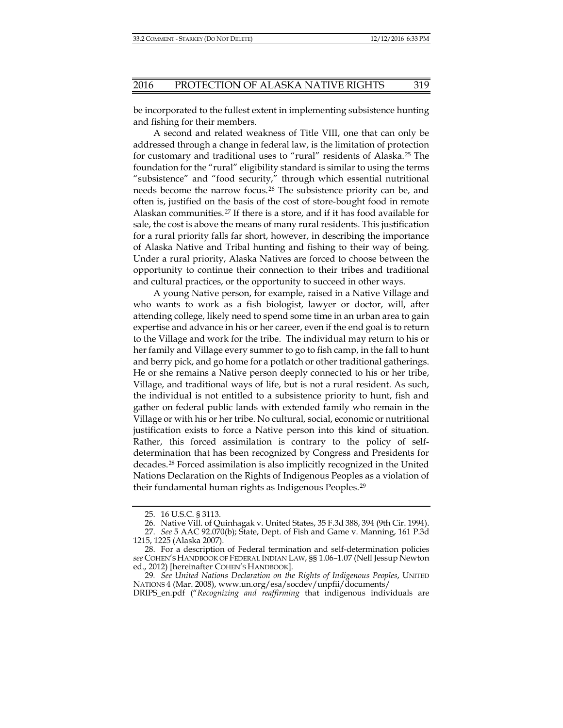be incorporated to the fullest extent in implementing subsistence hunting and fishing for their members.

A second and related weakness of Title VIII, one that can only be addressed through a change in federal law, is the limitation of protection for customary and traditional uses to "rural" residents of Alaska.[25](#page-4-0) The foundation for the "rural" eligibility standard is similar to using the terms "subsistence" and "food security," through which essential nutritional needs become the narrow focus.[26](#page-4-1) The subsistence priority can be, and often is, justified on the basis of the cost of store-bought food in remote Alaskan communities.<sup>[27](#page-4-2)</sup> If there is a store, and if it has food available for sale, the cost is above the means of many rural residents. This justification for a rural priority falls far short, however, in describing the importance of Alaska Native and Tribal hunting and fishing to their way of being. Under a rural priority, Alaska Natives are forced to choose between the opportunity to continue their connection to their tribes and traditional and cultural practices, or the opportunity to succeed in other ways.

A young Native person, for example, raised in a Native Village and who wants to work as a fish biologist, lawyer or doctor, will, after attending college, likely need to spend some time in an urban area to gain expertise and advance in his or her career, even if the end goal is to return to the Village and work for the tribe. The individual may return to his or her family and Village every summer to go to fish camp, in the fall to hunt and berry pick, and go home for a potlatch or other traditional gatherings. He or she remains a Native person deeply connected to his or her tribe, Village, and traditional ways of life, but is not a rural resident. As such, the individual is not entitled to a subsistence priority to hunt, fish and gather on federal public lands with extended family who remain in the Village or with his or her tribe. No cultural, social, economic or nutritional justification exists to force a Native person into this kind of situation. Rather, this forced assimilation is contrary to the policy of selfdetermination that has been recognized by Congress and Presidents for decades.[28](#page-4-3) Forced assimilation is also implicitly recognized in the United Nations Declaration on the Rights of Indigenous Peoples as a violation of their fundamental human rights as Indigenous Peoples.[29](#page-4-4)

DRIPS\_en.pdf ("*Recognizing and reaffirming* that indigenous individuals are

<span id="page-4-5"></span><sup>25.</sup> 16 U.S.C. § 3113.

<sup>26.</sup> Native Vill. of Quinhagak v. United States, 35 F.3d 388, 394 (9th Cir. 1994).

<span id="page-4-2"></span><span id="page-4-1"></span><span id="page-4-0"></span><sup>27.</sup> *See* 5 AAC 92.070(b); State, Dept. of Fish and Game v. Manning, 161 P.3d 1215, 1225 (Alaska 2007).

<span id="page-4-3"></span><sup>28.</sup> For a description of Federal termination and self-determination policies *see* COHEN'S HANDBOOK OF FEDERAL INDIAN LAW, §§ 1.06–1.07 (Nell Jessup Newton ed., 2012) [hereinafter COHEN'S HANDBOOK].

<span id="page-4-4"></span><sup>29</sup>*. See United Nations Declaration on the Rights of Indigenous Peoples*, UNITED NATIONS 4 (Mar. 2008), www.un.org/esa/socdev/unpfii/documents/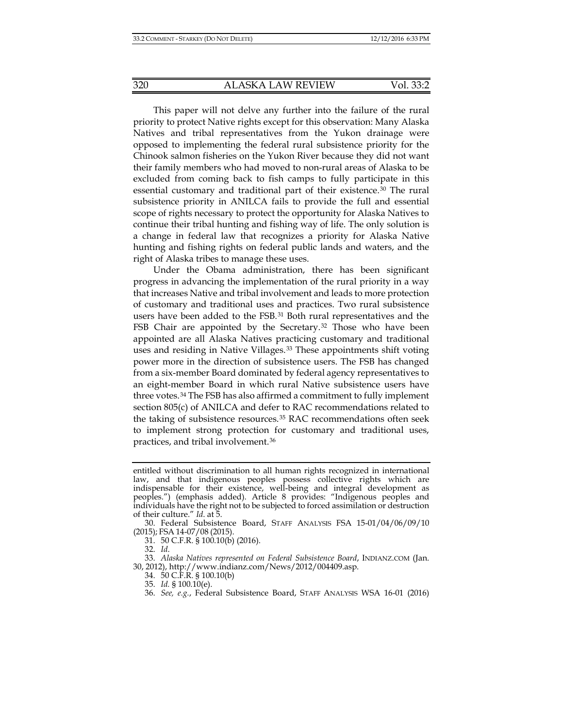This paper will not delve any further into the failure of the rural priority to protect Native rights except for this observation: Many Alaska Natives and tribal representatives from the Yukon drainage were opposed to implementing the federal rural subsistence priority for the Chinook salmon fisheries on the Yukon River because they did not want their family members who had moved to non-rural areas of Alaska to be excluded from coming back to fish camps to fully participate in this essential customary and traditional part of their existence.[30](#page-5-0) The rural subsistence priority in ANILCA fails to provide the full and essential scope of rights necessary to protect the opportunity for Alaska Natives to continue their tribal hunting and fishing way of life. The only solution is a change in federal law that recognizes a priority for Alaska Native hunting and fishing rights on federal public lands and waters, and the right of Alaska tribes to manage these uses.

Under the Obama administration, there has been significant progress in advancing the implementation of the rural priority in a way that increases Native and tribal involvement and leads to more protection of customary and traditional uses and practices. Two rural subsistence users have been added to the FSB.[31](#page-5-1) Both rural representatives and the FSB Chair are appointed by the Secretary.<sup>[32](#page-5-2)</sup> Those who have been appointed are all Alaska Natives practicing customary and traditional uses and residing in Native Villages.[33](#page-5-3) These appointments shift voting power more in the direction of subsistence users. The FSB has changed from a six-member Board dominated by federal agency representatives to an eight-member Board in which rural Native subsistence users have three votes.[34](#page-5-4) The FSB has also affirmed a commitment to fully implement section 805(c) of ANILCA and defer to RAC recommendations related to the taking of subsistence resources.[35](#page-5-5) RAC recommendations often seek to implement strong protection for customary and traditional uses, practices, and tribal involvement.[36](#page-5-6)

entitled without discrimination to all human rights recognized in international law, and that indigenous peoples possess collective rights which are indispensable for their existence, well-being and integral development as peoples.") (emphasis added). Article 8 provides: "Indigenous peoples and individuals have the right not to be subjected to forced assimilation or destruction of their culture." *Id*. at 5.

<span id="page-5-0"></span><sup>30.</sup> Federal Subsistence Board, STAFF ANALYSIS FSA 15-01/04/06/09/10 (2015); FSA 14-07/08 (2015).

<sup>31.</sup> 50 C.F.R. § 100.10(b) (2016).

<sup>32.</sup> *Id*.

<span id="page-5-6"></span><span id="page-5-5"></span><span id="page-5-4"></span><span id="page-5-3"></span><span id="page-5-2"></span><span id="page-5-1"></span><sup>33.</sup> *Alaska Natives represented on Federal Subsistence Board*, INDIANZ.COM (Jan. 30, 2012), http://www.indianz.com/News/2012/004409.asp.

<sup>34.</sup> 50 C.F.R. § 100.10(b)

<sup>35.</sup> *Id.* § 100.10(e).

<sup>36.</sup> *See, e.g.*, Federal Subsistence Board, STAFF ANALYSIS WSA 16-01 (2016)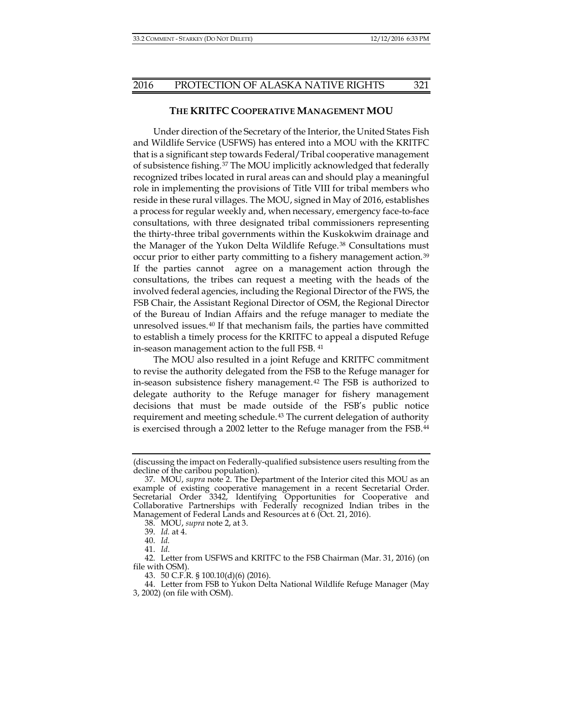### **THE KRITFC COOPERATIVE MANAGEMENT MOU**

Under direction of the Secretary of the Interior, the United States Fish and Wildlife Service (USFWS) has entered into a MOU with the KRITFC that is a significant step towards Federal/Tribal cooperative management of subsistence fishing.[37](#page-6-0) The MOU implicitly acknowledged that federally recognized tribes located in rural areas can and should play a meaningful role in implementing the provisions of Title VIII for tribal members who reside in these rural villages. The MOU, signed in May of 2016, establishes a process for regular weekly and, when necessary, emergency face-to-face consultations, with three designated tribal commissioners representing the thirty-three tribal governments within the Kuskokwim drainage and the Manager of the Yukon Delta Wildlife Refuge.<sup>[38](#page-6-1)</sup> Consultations must occur prior to either party committing to a fishery management action.[39](#page-6-2) If the parties cannot agree on a management action through the consultations, the tribes can request a meeting with the heads of the involved federal agencies, including the Regional Director of the FWS, the FSB Chair, the Assistant Regional Director of OSM, the Regional Director of the Bureau of Indian Affairs and the refuge manager to mediate the unresolved issues.[40](#page-6-3) If that mechanism fails, the parties have committed to establish a timely process for the KRITFC to appeal a disputed Refuge in-season management action to the full FSB. [41](#page-6-4)

<span id="page-6-8"></span>The MOU also resulted in a joint Refuge and KRITFC commitment to revise the authority delegated from the FSB to the Refuge manager for in-season subsistence fishery management.<sup>[42](#page-6-5)</sup> The FSB is authorized to delegate authority to the Refuge manager for fishery management decisions that must be made outside of the FSB's public notice requirement and meeting schedule.[43](#page-6-6) The current delegation of authority is exercised through a 2002 letter to the Refuge manager from the FSB[.44](#page-6-7)

<sup>(</sup>discussing the impact on Federally-qualified subsistence users resulting from the decline of the caribou population).

<span id="page-6-0"></span><sup>37.</sup> MOU, *supra* note [2.](#page-0-5) The Department of the Interior cited this MOU as an example of existing cooperative management in a recent Secretarial Order. Secretarial Order 3342, Identifying Opportunities for Cooperative and Collaborative Partnerships with Federally recognized Indian tribes in the Management of Federal Lands and Resources at 6 (Oct. 21, 2016).

<sup>38.</sup> MOU, *supra* not[e 2,](#page-0-5) at 3.

<sup>39.</sup> *Id.* at 4.

<sup>40.</sup> *Id.*

<sup>41.</sup> *Id*.

<span id="page-6-5"></span><span id="page-6-4"></span><span id="page-6-3"></span><span id="page-6-2"></span><span id="page-6-1"></span><sup>42.</sup> Letter from USFWS and KRITFC to the FSB Chairman (Mar. 31, 2016) (on file with OSM).

<sup>43.</sup> 50 C.F.R. § 100.10(d)(6) (2016).

<span id="page-6-7"></span><span id="page-6-6"></span><sup>44.</sup> Letter from FSB to Yukon Delta National Wildlife Refuge Manager (May 3, 2002) (on file with OSM).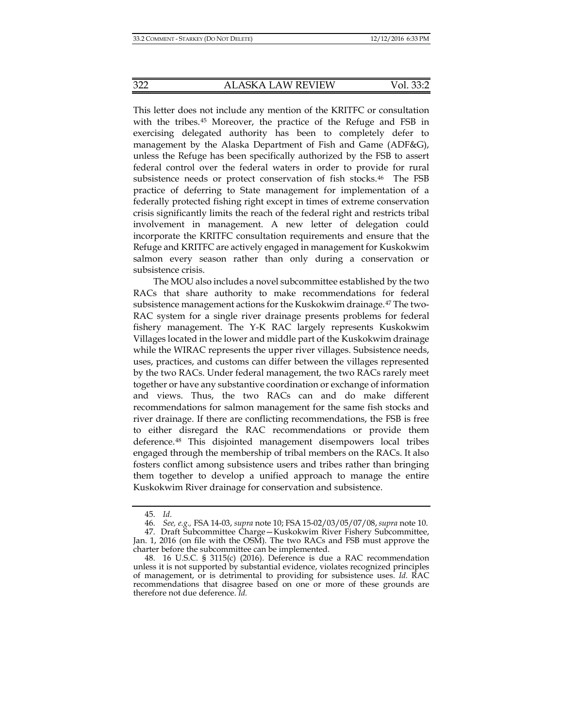This letter does not include any mention of the KRITFC or consultation with the tribes.[45](#page-7-0) Moreover, the practice of the Refuge and FSB in exercising delegated authority has been to completely defer to management by the Alaska Department of Fish and Game (ADF&G), unless the Refuge has been specifically authorized by the FSB to assert federal control over the federal waters in order to provide for rural subsistence needs or protect conservation of fish stocks.[46](#page-7-1) The FSB practice of deferring to State management for implementation of a federally protected fishing right except in times of extreme conservation crisis significantly limits the reach of the federal right and restricts tribal involvement in management. A new letter of delegation could incorporate the KRITFC consultation requirements and ensure that the Refuge and KRITFC are actively engaged in management for Kuskokwim salmon every season rather than only during a conservation or subsistence crisis.

The MOU also includes a novel subcommittee established by the two RACs that share authority to make recommendations for federal subsistence management actions for the Kuskokwim drainage.[47](#page-7-2) The two-RAC system for a single river drainage presents problems for federal fishery management. The Y-K RAC largely represents Kuskokwim Villages located in the lower and middle part of the Kuskokwim drainage while the WIRAC represents the upper river villages. Subsistence needs, uses, practices, and customs can differ between the villages represented by the two RACs. Under federal management, the two RACs rarely meet together or have any substantive coordination or exchange of information and views. Thus, the two RACs can and do make different recommendations for salmon management for the same fish stocks and river drainage. If there are conflicting recommendations, the FSB is free to either disregard the RAC recommendations or provide them deference.[48](#page-7-3) This disjointed management disempowers local tribes engaged through the membership of tribal members on the RACs. It also fosters conflict among subsistence users and tribes rather than bringing them together to develop a unified approach to manage the entire Kuskokwim River drainage for conservation and subsistence.

<sup>45.</sup> *Id.*

<sup>46.</sup> *See, e.g.,* FSA 14-03, *supra* note 10; FSA 15-02/03/05/07/08, *supra* note 10.

<span id="page-7-2"></span><span id="page-7-1"></span><span id="page-7-0"></span><sup>47.</sup> Draft Subcommittee Charge—Kuskokwim River Fishery Subcommittee, Jan. 1, 2016 (on file with the OSM). The two RACs and FSB must approve the charter before the subcommittee can be implemented.

<span id="page-7-3"></span><sup>48.</sup> 16 U.S.C. § 3115(c) (2016). Deference is due a RAC recommendation unless it is not supported by substantial evidence, violates recognized principles of management, or is detrimental to providing for subsistence uses. *Id.* RAC recommendations that disagree based on one or more of these grounds are therefore not due deference. *Id.*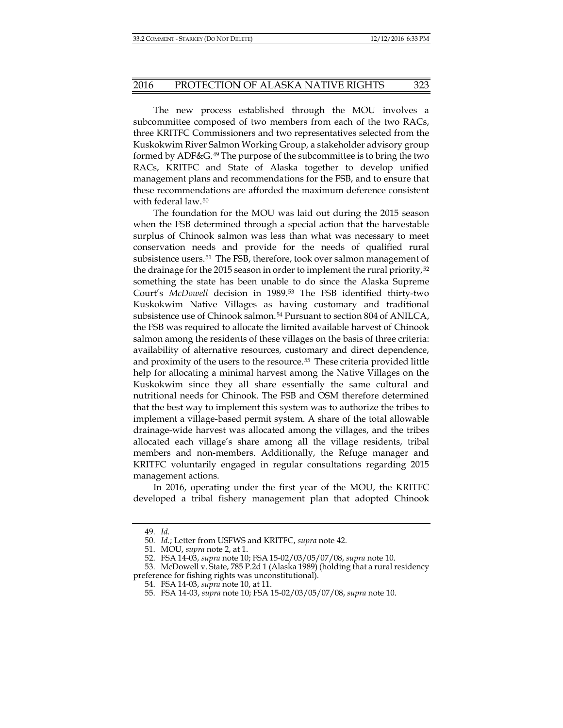The new process established through the MOU involves a subcommittee composed of two members from each of the two RACs, three KRITFC Commissioners and two representatives selected from the Kuskokwim River Salmon Working Group, a stakeholder advisory group formed by ADF&G.[49](#page-8-0) The purpose of the subcommittee is to bring the two RACs, KRITFC and State of Alaska together to develop unified management plans and recommendations for the FSB, and to ensure that these recommendations are afforded the maximum deference consistent with federal law.<sup>[50](#page-8-1)</sup>

The foundation for the MOU was laid out during the 2015 season when the FSB determined through a special action that the harvestable surplus of Chinook salmon was less than what was necessary to meet conservation needs and provide for the needs of qualified rural subsistence users.[51](#page-8-2) The FSB, therefore, took over salmon management of the drainage for the 2015 season in order to implement the rural priority,<sup>[52](#page-8-3)</sup> something the state has been unable to do since the Alaska Supreme Court's *McDowell* decision in 1989.[53](#page-8-4) The FSB identified thirty-two Kuskokwim Native Villages as having customary and traditional subsistence use of Chinook salmon.[54](#page-8-5) Pursuant to section 804 of ANILCA, the FSB was required to allocate the limited available harvest of Chinook salmon among the residents of these villages on the basis of three criteria: availability of alternative resources, customary and direct dependence, and proximity of the users to the resource.[55](#page-8-6) These criteria provided little help for allocating a minimal harvest among the Native Villages on the Kuskokwim since they all share essentially the same cultural and nutritional needs for Chinook. The FSB and OSM therefore determined that the best way to implement this system was to authorize the tribes to implement a village-based permit system. A share of the total allowable drainage-wide harvest was allocated among the villages, and the tribes allocated each village's share among all the village residents, tribal members and non-members. Additionally, the Refuge manager and KRITFC voluntarily engaged in regular consultations regarding 2015 management actions.

In 2016, operating under the first year of the MOU, the KRITFC developed a tribal fishery management plan that adopted Chinook

<span id="page-8-6"></span><span id="page-8-5"></span><span id="page-8-4"></span><span id="page-8-3"></span><span id="page-8-2"></span><span id="page-8-1"></span><span id="page-8-0"></span>53. McDowell v. State, 785 P.2d 1 (Alaska 1989) (holding that a rural residency preference for fishing rights was unconstitutional).

<sup>49.</sup> *Id.*

<sup>50.</sup> *Id.*; Letter from USFWS and KRITFC, *supra* not[e 42.](#page-6-8)

<sup>51.</sup> MOU, *supra* not[e 2,](#page-0-5) at 1.

<sup>52.</sup> FSA 14-03, *supra* note 10; FSA 15-02/03/05/07/08, *supra* note 10.

<sup>54.</sup> FSA 14-03, *supra* note 10, at 11.

<sup>55.</sup> FSA 14-03, *supra* note 10; FSA 15-02/03/05/07/08, *supra* note 10.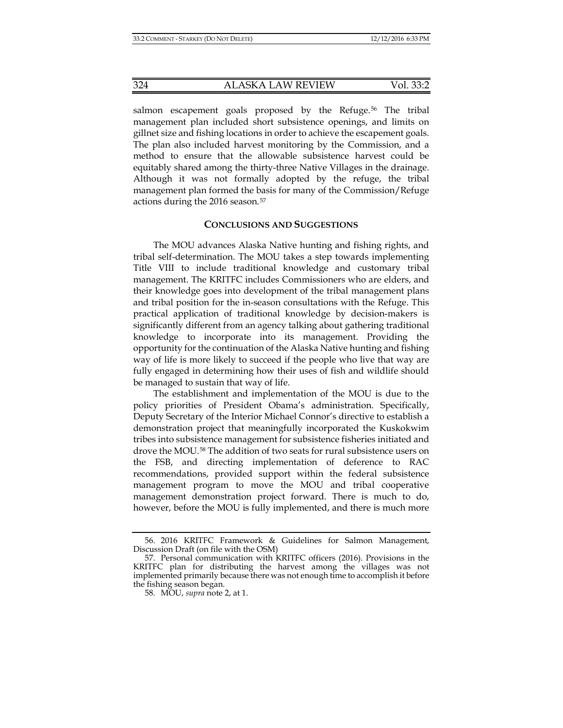salmon escapement goals proposed by the Refuge.<sup>[56](#page-9-0)</sup> The tribal management plan included short subsistence openings, and limits on gillnet size and fishing locations in order to achieve the escapement goals. The plan also included harvest monitoring by the Commission, and a method to ensure that the allowable subsistence harvest could be equitably shared among the thirty-three Native Villages in the drainage. Although it was not formally adopted by the refuge, the tribal management plan formed the basis for many of the Commission/Refuge actions during the 2016 season.<sup>[57](#page-9-1)</sup>

#### **CONCLUSIONS AND SUGGESTIONS**

The MOU advances Alaska Native hunting and fishing rights, and tribal self-determination. The MOU takes a step towards implementing Title VIII to include traditional knowledge and customary tribal management. The KRITFC includes Commissioners who are elders, and their knowledge goes into development of the tribal management plans and tribal position for the in-season consultations with the Refuge. This practical application of traditional knowledge by decision-makers is significantly different from an agency talking about gathering traditional knowledge to incorporate into its management. Providing the opportunity for the continuation of the Alaska Native hunting and fishing way of life is more likely to succeed if the people who live that way are fully engaged in determining how their uses of fish and wildlife should be managed to sustain that way of life.

The establishment and implementation of the MOU is due to the policy priorities of President Obama's administration. Specifically, Deputy Secretary of the Interior Michael Connor's directive to establish a demonstration project that meaningfully incorporated the Kuskokwim tribes into subsistence management for subsistence fisheries initiated and drove the MOU.[58](#page-9-2) The addition of two seats for rural subsistence users on the FSB, and directing implementation of deference to RAC recommendations, provided support within the federal subsistence management program to move the MOU and tribal cooperative management demonstration project forward. There is much to do, however, before the MOU is fully implemented, and there is much more

<span id="page-9-0"></span><sup>56.</sup> 2016 KRITFC Framework & Guidelines for Salmon Management, Discussion Draft (on file with the OSM)

<span id="page-9-2"></span><span id="page-9-1"></span><sup>57.</sup> Personal communication with KRITFC officers (2016). Provisions in the KRITFC plan for distributing the harvest among the villages was not implemented primarily because there was not enough time to accomplish it before the fishing season began.

<sup>58.</sup> MOU, *supra* not[e 2,](#page-0-5) at 1.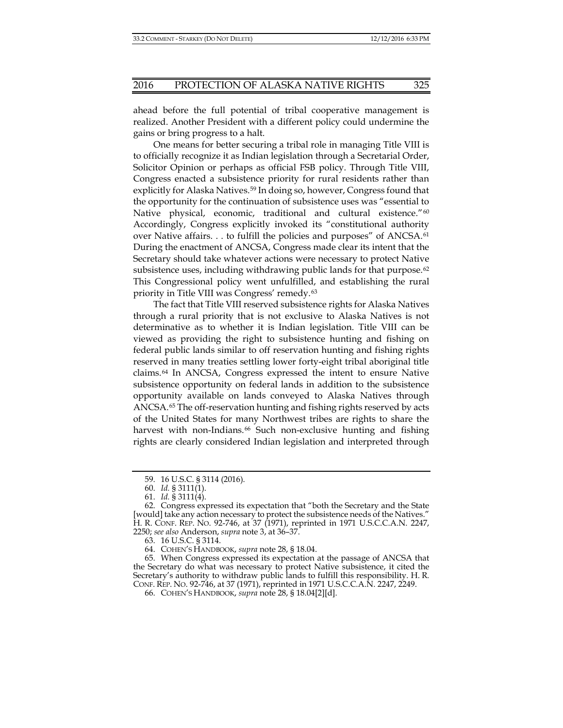ahead before the full potential of tribal cooperative management is realized. Another President with a different policy could undermine the gains or bring progress to a halt.

One means for better securing a tribal role in managing Title VIII is to officially recognize it as Indian legislation through a Secretarial Order, Solicitor Opinion or perhaps as official FSB policy. Through Title VIII, Congress enacted a subsistence priority for rural residents rather than explicitly for Alaska Natives.[59](#page-10-0) In doing so, however, Congress found that the opportunity for the continuation of subsistence uses was "essential to Native physical, economic, traditional and cultural existence."<sup>[60](#page-10-1)</sup> Accordingly, Congress explicitly invoked its "constitutional authority over Native affairs. . . to fulfill the policies and purposes" of ANCSA.[61](#page-10-2) During the enactment of ANCSA, Congress made clear its intent that the Secretary should take whatever actions were necessary to protect Native subsistence uses, including withdrawing public lands for that purpose.<sup>[62](#page-10-3)</sup> This Congressional policy went unfulfilled, and establishing the rural priority in Title VIII was Congress' remedy.[63](#page-10-4)

The fact that Title VIII reserved subsistence rights for Alaska Natives through a rural priority that is not exclusive to Alaska Natives is not determinative as to whether it is Indian legislation. Title VIII can be viewed as providing the right to subsistence hunting and fishing on federal public lands similar to off reservation hunting and fishing rights reserved in many treaties settling lower forty-eight tribal aboriginal title claims.[64](#page-10-5) In ANCSA, Congress expressed the intent to ensure Native subsistence opportunity on federal lands in addition to the subsistence opportunity available on lands conveyed to Alaska Natives through ANCSA.[65](#page-10-6) The off-reservation hunting and fishing rights reserved by acts of the United States for many Northwest tribes are rights to share the harvest with non-Indians.<sup>[66](#page-10-7)</sup> Such non-exclusive hunting and fishing rights are clearly considered Indian legislation and interpreted through

64. COHEN'S HANDBOOK, *supra* note [28,](#page-4-5) § 18.04.

<span id="page-10-7"></span><span id="page-10-6"></span><span id="page-10-5"></span><span id="page-10-4"></span>65. When Congress expressed its expectation at the passage of ANCSA that the Secretary do what was necessary to protect Native subsistence, it cited the Secretary's authority to withdraw public lands to fulfill this responsibility. H. R. CONF. REP. NO. 92-746, at 37 (1971), reprinted in 1971 U.S.C.C.A.N. 2247, 2249.

<sup>59.</sup> 16 U.S.C. § 3114 (2016).

<sup>60.</sup> *Id.* § 3111(1).

<sup>61.</sup> *Id.* § 3111(4).

<span id="page-10-3"></span><span id="page-10-2"></span><span id="page-10-1"></span><span id="page-10-0"></span><sup>62.</sup> Congress expressed its expectation that "both the Secretary and the State [would] take any action necessary to protect the subsistence needs of the Natives." H. R. CONF. REP. NO. 92-746, at 37 (1971), reprinted in 1971 U.S.C.C.A.N. 2247, 2250; *see also* Anderson, *supra* note [3,](#page-0-6) at 36–37.

<sup>63.</sup> 16 U.S.C. § 3114.

<sup>66.</sup> COHEN'S HANDBOOK, *supra* note [28,](#page-4-5) § 18.04[2][d].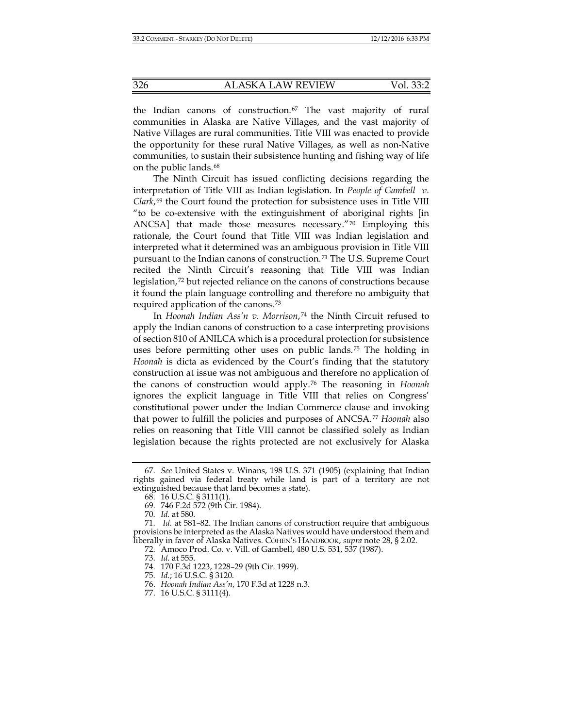the Indian canons of construction.<sup>[67](#page-11-0)</sup> The vast majority of rural communities in Alaska are Native Villages, and the vast majority of Native Villages are rural communities. Title VIII was enacted to provide the opportunity for these rural Native Villages, as well as non-Native communities, to sustain their subsistence hunting and fishing way of life on the public lands.[68](#page-11-1)

The Ninth Circuit has issued conflicting decisions regarding the interpretation of Title VIII as Indian legislation. In *People of Gambell v. Clark*,[69](#page-11-2) the Court found the protection for subsistence uses in Title VIII "to be co-extensive with the extinguishment of aboriginal rights [in ANCSA] that made those measures necessary." $\frac{70}{10}$  $\frac{70}{10}$  $\frac{70}{10}$  Employing this rationale, the Court found that Title VIII was Indian legislation and interpreted what it determined was an ambiguous provision in Title VIII pursuant to the Indian canons of construction.[71](#page-11-4) The U.S. Supreme Court recited the Ninth Circuit's reasoning that Title VIII was Indian legislation,[72](#page-11-5) but rejected reliance on the canons of constructions because it found the plain language controlling and therefore no ambiguity that required application of the canons.[73](#page-11-6)

In *Hoonah Indian Ass'n v. Morrison*,[74](#page-11-7) the Ninth Circuit refused to apply the Indian canons of construction to a case interpreting provisions of section 810 of ANILCA which is a procedural protection for subsistence uses before permitting other uses on public lands.[75](#page-11-8) The holding in *Hoonah* is dicta as evidenced by the Court's finding that the statutory construction at issue was not ambiguous and therefore no application of the canons of construction would apply.[76](#page-11-9) The reasoning in *Hoonah* ignores the explicit language in Title VIII that relies on Congress' constitutional power under the Indian Commerce clause and invoking that power to fulfill the policies and purposes of ANCSA.[77](#page-11-10) *Hoonah* also relies on reasoning that Title VIII cannot be classified solely as Indian legislation because the rights protected are not exclusively for Alaska

<span id="page-11-1"></span><span id="page-11-0"></span><sup>67.</sup> *See* United States v. Winans, 198 U.S. 371 (1905) (explaining that Indian rights gained via federal treaty while land is part of a territory are not extinguished because that land becomes a state).

<sup>68.</sup> 16 U.S.C. § 3111(1).

<sup>69.</sup> 746 F.2d 572 (9th Cir. 1984).

<sup>70.</sup> *Id.* at 580.

<span id="page-11-8"></span><span id="page-11-7"></span><span id="page-11-6"></span><span id="page-11-5"></span><span id="page-11-4"></span><span id="page-11-3"></span><span id="page-11-2"></span><sup>71.</sup> *Id.* at 581–82. The Indian canons of construction require that ambiguous provisions be interpreted as the Alaska Natives would have understood them and liberally in favor of Alaska Natives. COHEN'S HANDBOOK, *supra* not[e 28,](#page-4-5) § 2.02.

<sup>72.</sup> Amoco Prod. Co. v. Vill. of Gambell, 480 U.S. 531, 537 (1987).

<sup>73.</sup> *Id.* at 555.

<sup>74.</sup> 170 F.3d 1223, 1228–29 (9th Cir. 1999).

<sup>75.</sup> *Id.*; 16 U.S.C. § 3120.

<span id="page-11-9"></span><sup>76.</sup> *Hoonah Indian Ass'n*, 170 F.3d at 1228 n.3.

<span id="page-11-10"></span><sup>77.</sup> 16 U.S.C. § 3111(4).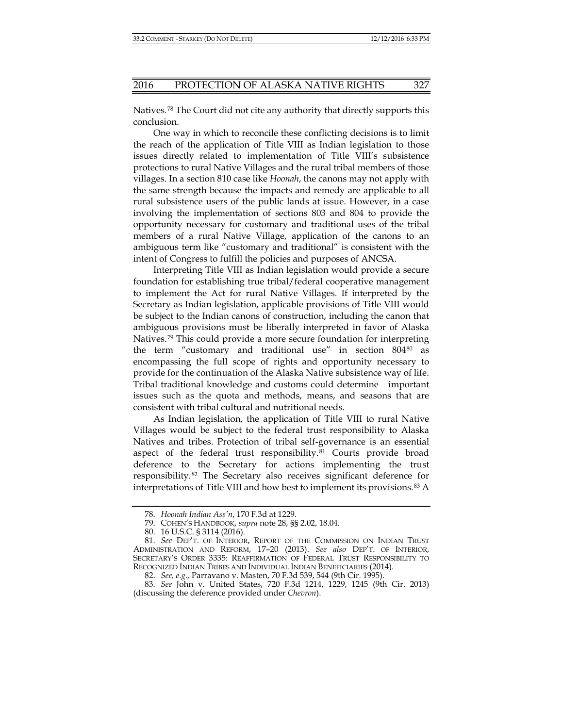Natives.[78](#page-12-0) The Court did not cite any authority that directly supports this conclusion.

One way in which to reconcile these conflicting decisions is to limit the reach of the application of Title VIII as Indian legislation to those issues directly related to implementation of Title VIII's subsistence protections to rural Native Villages and the rural tribal members of those villages. In a section 810 case like *Hoonah*, the canons may not apply with the same strength because the impacts and remedy are applicable to all rural subsistence users of the public lands at issue. However, in a case involving the implementation of sections 803 and 804 to provide the opportunity necessary for customary and traditional uses of the tribal members of a rural Native Village, application of the canons to an ambiguous term like "customary and traditional" is consistent with the intent of Congress to fulfill the policies and purposes of ANCSA.

Interpreting Title VIII as Indian legislation would provide a secure foundation for establishing true tribal/federal cooperative management to implement the Act for rural Native Villages. If interpreted by the Secretary as Indian legislation, applicable provisions of Title VIII would be subject to the Indian canons of construction, including the canon that ambiguous provisions must be liberally interpreted in favor of Alaska Natives.[79](#page-12-1) This could provide a more secure foundation for interpreting the term "customary and traditional use" in section 804[80](#page-12-2) as encompassing the full scope of rights and opportunity necessary to provide for the continuation of the Alaska Native subsistence way of life. Tribal traditional knowledge and customs could determine important issues such as the quota and methods, means, and seasons that are consistent with tribal cultural and nutritional needs.

As Indian legislation, the application of Title VIII to rural Native Villages would be subject to the federal trust responsibility to Alaska Natives and tribes. Protection of tribal self-governance is an essential aspect of the federal trust responsibility.<sup>[81](#page-12-3)</sup> Courts provide broad deference to the Secretary for actions implementing the trust responsibility.[82](#page-12-4) The Secretary also receives significant deference for interpretations of Title VIII and how best to implement its provisions.[83](#page-12-5) A

<sup>78.</sup> *Hoonah Indian Ass'n*, 170 F.3d at 1229.

<sup>79.</sup> COHEN'S HANDBOOK, *supra* note [28,](#page-4-5) §§ 2.02, 18.04.

<sup>80.</sup> 16 U.S.C. § 3114 (2016).

<span id="page-12-3"></span><span id="page-12-2"></span><span id="page-12-1"></span><span id="page-12-0"></span><sup>81.</sup> *See* DEP'T. OF INTERIOR, REPORT OF THE COMMISSION ON INDIAN TRUST ADMINISTRATION AND REFORM, 17–20 (2013). *See also* DEP'T. OF INTERIOR, SECRETARY'S ORDER 3335: REAFFIRMATION OF FEDERAL TRUST RESPONSIBILITY TO RECOGNIZED INDIAN TRIBES AND INDIVIDUAL INDIAN BENEFICIARIES (2014).

<sup>82.</sup> *See, e.g.,* Parravano v. Masten, 70 F.3d 539, 544 (9th Cir. 1995).

<span id="page-12-5"></span><span id="page-12-4"></span><sup>83.</sup> *See* John v. United States, 720 F.3d 1214, 1229, 1245 (9th Cir. 2013) (discussing the deference provided under *Chevron*).